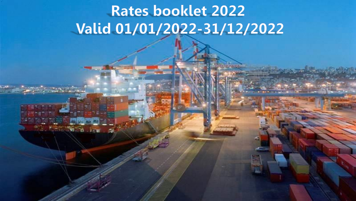# **Rates booklet 2022** Valid 01/01/2022-31/12/2022

16.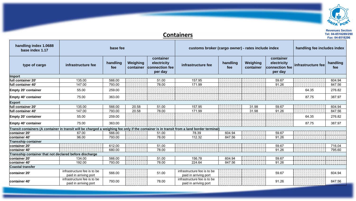

## **Containers**

| handling index 1.0688<br>base index 1.17                                                                                                   | base fee<br>container                                |                 |                       |                                          | customs broker (cargo owner) - rates include index   |                 |                       |                                                       | handling fee includes index |                 |  |
|--------------------------------------------------------------------------------------------------------------------------------------------|------------------------------------------------------|-----------------|-----------------------|------------------------------------------|------------------------------------------------------|-----------------|-----------------------|-------------------------------------------------------|-----------------------------|-----------------|--|
| type of cargo                                                                                                                              | infrastructure fee                                   | handling<br>fee | Weighing<br>container | electricity<br>connection fee<br>per day | infrastructure fee                                   | handling<br>fee | Weighing<br>container | container<br>electricity<br>connection fee<br>per day | infrastructure fee          | handling<br>fee |  |
| Import                                                                                                                                     |                                                      |                 |                       |                                          |                                                      |                 |                       |                                                       |                             |                 |  |
| full container 20'                                                                                                                         | 135.00                                               | 566.00          |                       | 51.00                                    | 157.95                                               |                 |                       | 59.67                                                 |                             | 604.94          |  |
| full container 40'                                                                                                                         | 147.00                                               | 793.00          |                       | 78.00                                    | 171.99                                               |                 |                       | 91.26                                                 |                             | 847.56          |  |
| <b>Empty 20' container</b>                                                                                                                 | 55.00                                                | 259.00          |                       |                                          |                                                      |                 |                       |                                                       | 64.35                       | 276.82          |  |
| <b>Empty 40' container</b>                                                                                                                 | 75.00                                                | 363.00          |                       |                                          |                                                      |                 |                       |                                                       | 87.75                       | 387.97          |  |
| <b>Export</b>                                                                                                                              |                                                      |                 |                       |                                          |                                                      |                 |                       |                                                       |                             |                 |  |
| full container 20'                                                                                                                         | 135.00                                               | 566.00          | 20.58                 | 51.00                                    | 157.95                                               |                 | 31.98                 | 59.67                                                 |                             | 604.94          |  |
| full container 40'                                                                                                                         | 147.00                                               | 793.00          | 20.58                 | 78.00                                    | 171.99                                               |                 | 31.98                 | 91.26                                                 |                             | 847.56          |  |
| <b>Empty 20' container</b>                                                                                                                 | 55.00                                                | 259.00          |                       |                                          |                                                      |                 |                       |                                                       | 64.35                       | 276.82          |  |
| <b>Empty 40' container</b>                                                                                                                 | 75.00                                                | 363.00          |                       |                                          |                                                      |                 |                       |                                                       | 87.75                       | 387.97          |  |
| Transit containers (A container in transit will be charged a weighing fee only if the container is in transit from a land border terminal) |                                                      |                 |                       |                                          |                                                      |                 |                       |                                                       |                             |                 |  |
| container 20'                                                                                                                              | 67.00                                                | 566.00          |                       | 51.00                                    | 78.39                                                | 604.94          |                       | 59.67                                                 |                             |                 |  |
| container 40'                                                                                                                              | 96.00                                                | 793.00          |                       | 78.00                                    | 112.32                                               | 847.56          |                       | 91.26                                                 |                             |                 |  |
| <b>Transship container</b>                                                                                                                 |                                                      |                 |                       |                                          |                                                      |                 |                       |                                                       |                             |                 |  |
| container 20'                                                                                                                              |                                                      | 612.00          |                       | 51.00                                    |                                                      |                 |                       | 59.67                                                 |                             | 716.04          |  |
| container 40'                                                                                                                              |                                                      | 680.00          |                       | 78.00                                    |                                                      |                 |                       | 91.26                                                 |                             | 795.60          |  |
| Transship container that not declared before discharge                                                                                     |                                                      |                 |                       |                                          |                                                      |                 |                       |                                                       |                             |                 |  |
| container 20'                                                                                                                              | 134.00                                               | 566.00          |                       | 51.00                                    | 156.78                                               | 604.94          |                       | 59.67                                                 |                             |                 |  |
| container 40'                                                                                                                              | 192.00                                               | 793.00          |                       | 78.00                                    | 224.64                                               | 847.56          |                       | 91.26                                                 |                             |                 |  |
| <b>Coastal transfer</b>                                                                                                                    |                                                      |                 |                       |                                          |                                                      |                 |                       |                                                       |                             |                 |  |
| container 20'                                                                                                                              | infrastructure fee is to be<br>paid in arriving port | 566.00          |                       | 51.00                                    | infrastructure fee is to be<br>paid in arriving port |                 |                       | 59.67                                                 |                             | 604.94          |  |
| container 40'                                                                                                                              | infrastructure fee is to be<br>paid in arriving port | 793.00          |                       | 78.00                                    | infrastructure fee is to be<br>paid in arriving port |                 |                       | 91.26                                                 |                             | 847.56          |  |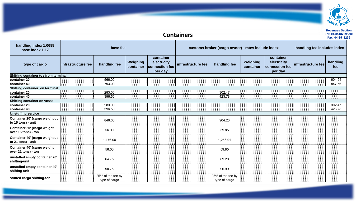

## **Containers**

| handling index 1.0688<br>base index 1.17             | base fee           |                                    | customs broker (cargo owner) - rates include index |                                                       |                    |                                    | handling fee includes index |                                                       |                    |                 |
|------------------------------------------------------|--------------------|------------------------------------|----------------------------------------------------|-------------------------------------------------------|--------------------|------------------------------------|-----------------------------|-------------------------------------------------------|--------------------|-----------------|
| type of cargo                                        | infrastructure fee | handling fee                       | Weighing<br>container                              | container<br>electricity<br>connection fee<br>per day | infrastructure fee | handling fee                       | Weighing<br>container       | container<br>electricity<br>connection fee<br>per day | infrastructure fee | handling<br>fee |
| Shifting container to / from terminal                |                    |                                    |                                                    |                                                       |                    |                                    |                             |                                                       |                    |                 |
| container 20'                                        |                    | 566.00                             |                                                    |                                                       |                    |                                    |                             |                                                       |                    | 604.94          |
| container 40'                                        |                    | 793.00                             |                                                    |                                                       |                    |                                    |                             |                                                       |                    | 847.56          |
| Shifting container on terminal                       |                    |                                    |                                                    |                                                       |                    |                                    |                             |                                                       |                    |                 |
| container 20'                                        |                    | 283.00                             |                                                    |                                                       |                    | 302.47                             |                             |                                                       |                    |                 |
| container 40'                                        |                    | 396.50                             |                                                    |                                                       |                    | 423.78                             |                             |                                                       |                    |                 |
| <b>Shifting container on vessel</b>                  |                    |                                    |                                                    |                                                       |                    |                                    |                             |                                                       |                    |                 |
| container 20'                                        |                    | 283.00                             |                                                    |                                                       |                    |                                    |                             |                                                       |                    | 302.47          |
| container 40'                                        |                    | 396.50                             |                                                    |                                                       |                    |                                    |                             |                                                       |                    | 423.78          |
| <b>Unstuffing service</b>                            |                    |                                    |                                                    |                                                       |                    |                                    |                             |                                                       |                    |                 |
| Container 20' (cargo weight up<br>to 15 tons) - unit |                    | 846.00                             |                                                    |                                                       |                    | 904.20                             |                             |                                                       |                    |                 |
| Container 20' (cargo weight<br>over 15 tons) - ton   |                    | 56.00                              |                                                    |                                                       |                    | 59.85                              |                             |                                                       |                    |                 |
| Container 40' (cargo weight up<br>to 21 tons) - unit |                    | 1,176.00                           |                                                    |                                                       |                    | 1,256.91                           |                             |                                                       |                    |                 |
| Container 40' (cargo weight<br>over 21 tons) - ton   |                    | 56.00                              |                                                    |                                                       |                    | 59.85                              |                             |                                                       |                    |                 |
| unstaffed empty container 20'<br>shifting-unit       |                    | 64.75                              |                                                    |                                                       |                    | 69.20                              |                             |                                                       |                    |                 |
| unstaffed empty container 40'<br>shifting-unit       |                    | 90.75                              |                                                    |                                                       |                    | 96.99                              |                             |                                                       |                    |                 |
| stuffed cargo shifting-ton                           |                    | 25% of the fee by<br>type of cargo |                                                    |                                                       |                    | 25% of the fee by<br>type of cargo |                             |                                                       |                    |                 |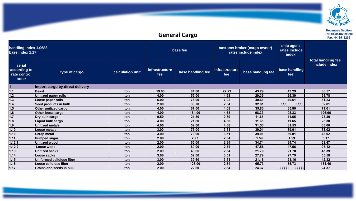

## **General Cargo**

**Revenues Section Tel: 04-8518289/290**

| base index 1.17                                 | handling index 1.0688           |                  | base fee              |                   |                              | customs broker (cargo owner) -<br>rates include index | ship agent-<br>rates include<br>index | total handling fee |
|-------------------------------------------------|---------------------------------|------------------|-----------------------|-------------------|------------------------------|-------------------------------------------------------|---------------------------------------|--------------------|
| serial<br>according to<br>rate control<br>order | type of cargo                   | calculation unit | infrastructure<br>fee | base handling fee | <b>infrastructure</b><br>fee | base handling fee                                     | base handling<br>fee                  | include index      |
|                                                 | Import cargo by direct delivery |                  |                       |                   |                              |                                                       |                                       |                    |
| 1.1                                             | <b>Beast</b>                    | ton              | 19.00                 | 81.00             | 22.23                        | 43.29                                                 | 43.29                                 | 86.57              |
| 1.2                                             | Unitized paper rolls            | ton              | 4.00                  | 55.00             | 4.68                         | 29.39                                                 | 29.39                                 | 58.78              |
| 1.3                                             | Loose paper rolls               | ton              | 6.00                  | 76.00             | 7.02                         | 40.61                                                 | 40.61                                 | 81.23              |
| 1.4                                             | Seed products in bulk           | ton              | 2.00                  | 30.70             | 2.34                         | 32.81                                                 |                                       | 32.81              |
| 1.5                                             | Other unitized cargo            | ton              | 4.00                  | 67.00             | 4.68                         | 35.80                                                 | 35.80                                 | 71.61              |
| 1.6                                             | Other loose cargo               | ton              | 4.00                  | 184.00            | 4.68                         | 98.33                                                 | 98.33                                 | 196.66             |
| $\overline{1.7}$                                | Dry bulk cargo                  | ton              | 0.50                  | 21.80             | 0.59                         | 11.65                                                 | 11.65                                 | 23.30              |
| 1.8                                             | Liquid bulk cargo               | ton              | 4.00                  | 21.80             | 4.68                         | 11.65                                                 | 11.65                                 | 23.30              |
| 1.9                                             | Unitized metals                 | ton              | 4.00                  | 59.00             | 4.68                         | 31.53                                                 | 31.53                                 | 63.06              |
| 1.10                                            | Loose metals                    | ton              | 3.00                  | 73.00             | 3.51                         | 39.01                                                 | 39.01                                 | 78.02              |
| 1.10                                            | Scrap metal                     | ton              | 3.00                  | 73.00             | 3.51                         | 39.01                                                 | 39.01                                 | 78.02              |
| 1.11                                            | Pumped sugar                    | ton              | 2.00                  | 2.97              | 2.34                         | 1.59                                                  | 1.59                                  | 3.17               |
| 1.12.1                                          | Unitized wood                   | ton              | 2.00                  | 65.00             | 2.34                         | 34.74                                                 | 34.74                                 | 69.47              |
| 1.12.2                                          | Loose wood                      | ton              | 2.00                  | 89.00             | 2.34                         | 47.56                                                 | 47.56                                 | 95.12              |
| 1.13                                            | Unitized sacks                  | ton              | 2.00                  | 40.60             | 2.34                         | 21.70                                                 | 21.70                                 | 43.39              |
| 1.14                                            | Loose sacks                     | ton              | 3.00                  | 52.00             | 3.51                         | 27.79                                                 | 27.79                                 | 55.58              |
| 1.15                                            | Uniformed cellulose fiber       | ton              | 3.00                  | 39.60             | 3.51                         | 21.16                                                 | 21.16                                 | 42.32              |
| 1.16                                            | Loose cellulose fiber           | ton              | 2.00                  | 123.00            | 2.34                         | 65.73                                                 | 65.73                                 | 131.46             |
| 1.17                                            | <b>Grains and seeds in bulk</b> | ton              | 2.00                  | 22.80             | 2.34                         | 24.37                                                 |                                       | 24.37              |

**Fax: 04-8518296**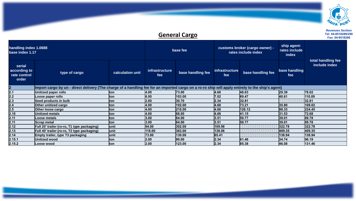

|                                                 | Tel: 04-8518289/2<br><b>General Cargo</b><br>Fax: 04-851829                                                                                       |                  |                              |                   |                              |                                                       |                                       |                                     |  |  |  |  |
|-------------------------------------------------|---------------------------------------------------------------------------------------------------------------------------------------------------|------------------|------------------------------|-------------------|------------------------------|-------------------------------------------------------|---------------------------------------|-------------------------------------|--|--|--|--|
| base index 1.17                                 | handling index 1.0688                                                                                                                             |                  |                              | base fee          |                              | customs broker (cargo owner) -<br>rates include index | ship agent-<br>rates include<br>index |                                     |  |  |  |  |
| serial<br>according to<br>rate control<br>order | type of cargo                                                                                                                                     | calculation unit | <i>infrastructure</i><br>fee | base handling fee | <i>infrastructure</i><br>fee | base handling fee                                     | base handling<br>fee                  | total handling fee<br>include index |  |  |  |  |
|                                                 | Import cargo by un - direct delivery (The charge of a handling fee for an imported cargo on a ro-ro ship will apply entirely to the ship's agent) |                  |                              |                   |                              |                                                       |                                       |                                     |  |  |  |  |
| 2.1                                             | Unitized paper rolls                                                                                                                              | Iton             | 4.00                         | 73.00             | 4.68                         | 48.63                                                 | 29.39                                 | 78.02                               |  |  |  |  |
| <u>2.2</u>                                      | Loose paper rolls                                                                                                                                 | <b>ton</b>       | 6.00                         | 103.00            | 7.02                         | 69.47                                                 | 40.61                                 | 110.09                              |  |  |  |  |
| 2.3                                             | Seed products in bulk                                                                                                                             | ton              | 2.00                         | 30.70             | 2.34                         | 32.81                                                 |                                       | 32.81                               |  |  |  |  |
| 2.4                                             | Other unitized cargo                                                                                                                              | lton             | 4.00                         | 102.00            | 4.68                         | 73.21                                                 | 35.80                                 | 109.02                              |  |  |  |  |
| 2.5                                             | Other loose cargo                                                                                                                                 | ton              | 4.00                         | 210.00            | 4.68                         | 126.12                                                | 98.33                                 | 224.45                              |  |  |  |  |
| 2.10                                            | <b>Unitized metals</b>                                                                                                                            | Iton             | 4.00                         | 68.00             | 4.68                         | 41.15                                                 | 31.53                                 | 72.68                               |  |  |  |  |
| 2.11                                            | Loose metals                                                                                                                                      | <b>ton</b>       | 3.00                         | 84.00             | 3.51                         | 50.77                                                 | 39.01                                 | 89.78                               |  |  |  |  |
| 2.11                                            | Scrap metal                                                                                                                                       | <b>ton</b>       | 3.00                         | 84.00             | 3.51                         | 50.77                                                 | 39.01                                 | 89.78                               |  |  |  |  |
| 2.12                                            | Full 20' trailer (ro-ro, T1 type packaging)                                                                                                       | lunit            | 94.00                        | 302.00            | 109.98                       |                                                       | 322.78                                | 322.78                              |  |  |  |  |
| 2.13                                            | Full 40' trailer (ro-ro, T2 type packaging)                                                                                                       | lunit            | 118.00                       | 383.00            | 138.06                       |                                                       | 409.35                                | 409.35                              |  |  |  |  |
| 2.14                                            | Empty trailer, type T3 packaging                                                                                                                  | lunit            | 73.00                        | 130.00            | 85.41                        |                                                       | 138.94                                | 138.94                              |  |  |  |  |
| 2.15.1                                          | Unitized wood                                                                                                                                     | <b>ton</b>       | 2.00                         | 90.00             | 2.34                         | 61.46                                                 | 34.74                                 | 96.19                               |  |  |  |  |
| 2.15.2                                          | Loose wood                                                                                                                                        | ton              | 2.00                         | 123.00            | 2.34                         | 85.38                                                 | 46.08                                 | 131.46                              |  |  |  |  |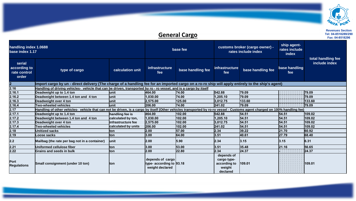

## **General Cargo**

| handling index 1.0688<br>base index 1.17        |                                                                                                                                                                            |                     |                                                                 | base fee          |                                                                 | customs broker (cargo owner) -<br>rates include index | ship agent-<br>rates include<br>index |                                     |
|-------------------------------------------------|----------------------------------------------------------------------------------------------------------------------------------------------------------------------------|---------------------|-----------------------------------------------------------------|-------------------|-----------------------------------------------------------------|-------------------------------------------------------|---------------------------------------|-------------------------------------|
| serial<br>according to<br>rate control<br>order | type of cargo                                                                                                                                                              | calculation unit    | infrastructure<br>fee                                           | base handling fee | infrastructure<br>fee                                           | base handling fee                                     | base handling<br>fee                  | total handling fee<br>include index |
| $ 2\rangle$                                     | Import cargo by un - direct delivery (The charge of a handling fee for an imported cargo on a ro-ro ship will apply entirely to the ship's agent)                          |                     |                                                                 |                   |                                                                 |                                                       |                                       |                                     |
| 2.16                                            | Handling of driving vehicles- vehicle that can be driven, transported by ro - ro vessel, and is a cargo by itself                                                          |                     |                                                                 |                   |                                                                 |                                                       |                                       |                                     |
| 2.16.1                                          | Deadweight up to 1.4 ton                                                                                                                                                   | lunit               | 464.00                                                          | 174.00            | 542.88                                                          | 79.09                                                 |                                       | 79.09                               |
| 2.16.2                                          | Deadweight between 1.4 ton and 4 ton                                                                                                                                       | lunit               | 1,030.00                                                        | 74.00             | 1,205.10                                                        | 79.09                                                 |                                       | 79.09                               |
| 2.16.3                                          | Deadweight over 4 ton                                                                                                                                                      | <b>unit</b>         | 2,575.00                                                        | 125.00            | 3,012.75                                                        | 133.60                                                |                                       | 133.60                              |
| 2.16.4                                          | <b>Two-wheeled vehicles</b>                                                                                                                                                | lunit               | 206.00                                                          | 74.00             | 241.02                                                          | 79.09                                                 |                                       | 79.09                               |
| 2.17                                            | Handling of other vehicles- vehicle that can not be driven, is a cargo by itself (Other vehicles transported by ro-ro vessel - Customs agent charged on 100% handling fee) |                     |                                                                 |                   |                                                                 |                                                       |                                       |                                     |
| 2.17.1                                          | Deadweight up to 1.4 ton                                                                                                                                                   | handling fee is     | 464.00                                                          | 102.00            | 542.88                                                          | 54.51                                                 | 54.51                                 | 109.02                              |
| 2.17.2                                          | Deadweight between 1.4 ton and 4 ton                                                                                                                                       | calculated by ton,  | 1,030.00                                                        | 102.00            | 1,205.10                                                        | 54.51                                                 | 54.51                                 | 109.02                              |
| 2.17.3                                          | Deadweight over 4 ton                                                                                                                                                      | linfrastructure fee | 2,575.00                                                        | 102.00            | 3,012.75                                                        | 54.51                                                 | 54.51                                 | 109.02                              |
| 2.17.4                                          | <b>Two-wheeled vehicles</b>                                                                                                                                                | calculated by units | 206.00                                                          | 102.00            | 241.02                                                          | 54.51                                                 | 54.51                                 | 109.02                              |
| 2.18                                            | <b>Unitized sacks</b>                                                                                                                                                      | lton                | 2.00                                                            | 57.00             | 2.34                                                            | 39.22                                                 | 21.70                                 | 60.92                               |
| 2.19                                            | Loose sacks                                                                                                                                                                | <b>ton</b>          | 3.00                                                            | 64.00             | 3.51                                                            | 40.61                                                 | 27.79                                 | 68.40                               |
| 2.2                                             | Mailbag (the rate per bag not in a container)                                                                                                                              | lunit               | 2.00                                                            | 5.90              | 2.34                                                            | 3.15                                                  | 3.15                                  | 6.31                                |
| 2.21                                            | Uniformed cellulose fiber                                                                                                                                                  | lton                | 3.00                                                            | 53.00             | 3.51                                                            | 35.48                                                 | 21.16                                 | 56.65                               |
| 2.22                                            | Grains and seeds in bulk                                                                                                                                                   | lton                | 2.00                                                            | 22.80             | 2.34                                                            | 24.37                                                 |                                       | 24.37                               |
| Port<br><b>Regulations</b>                      | Small consignment (under 10 ton)                                                                                                                                           | lton                | depends of cargo<br>type- according to 93.18<br>weight declared |                   | depends of<br>cargo type-<br>according to<br>weight<br>declared | 109.01                                                |                                       | 109.01                              |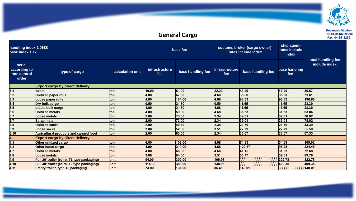

## **General Cargo**

| base index 1.17                                 | handling index 1.0688                        |                  | base fee                     |                   | customs broker (cargo owner) -<br>rates include index |                   | ship agent-<br>rates include<br>index | total handling fee |
|-------------------------------------------------|----------------------------------------------|------------------|------------------------------|-------------------|-------------------------------------------------------|-------------------|---------------------------------------|--------------------|
| serial<br>according to<br>rate control<br>order | type of cargo                                | calculation unit | <i>infrastructure</i><br>fee | base handling fee | <b>infrastructure</b><br>fee                          | base handling fee | base handling<br>fee                  | include index      |
|                                                 | <b>Export cargo by direct delivery</b>       |                  |                              |                   |                                                       |                   |                                       |                    |
| 3.1                                             | <b>Beast</b>                                 | lton             | 19.00                        | 81.00             | 22.23                                                 | 43.29             | 43.29                                 | 86.57              |
| 3.2                                             | <b>Unitized paper rolls</b>                  | lton             | 4.00                         | 67.00             | 4.68                                                  | 35.80             | 35.80                                 | 71.61              |
| 3.3                                             | Loose paper rolls                            | lton             | 4.00                         | 184.00            | 4.68                                                  | 98.33             | 98.33                                 | 196.66             |
| 3.4                                             | Dry bulk cargo                               | lton             | 0.50                         | 21.80             | 0.59                                                  | 11.65             | 11.65                                 | 23.30              |
| 3.5                                             | Liquid bulk cargo                            | lton             | 4.00                         | 21.80             | 4.68                                                  | 11.65             | 11.65                                 | 23.30              |
| 3.6                                             | <b>Unitized metals</b>                       | lton             | 4.00                         | 59.00             | 4.68                                                  | 31.53             | 31.53                                 | 63.06              |
| 3.7                                             | <b>Loose metals</b>                          | lton             | 2.00                         | 73.00             | 2.34                                                  | 39.01             | 39.01                                 | 78.02              |
| 3.7                                             | <b>Scrap metal</b>                           | lton             | 2.00                         | 73.00             | 2.34                                                  | 39.01             | 39.01                                 | 78.02              |
| 3.8                                             | <b>Unitized sacks</b>                        | lton             | 2.00                         | 40.60             | 2.34                                                  | 21.70             | 21.70                                 | 43.39              |
| 3.9                                             | <b>Loose sacks</b>                           | lton             | 3.00                         | 52.00             | 3.51                                                  | 27.79             | 27.79                                 | 55.58              |
| 3.10                                            | <b>Agricultural products and canned food</b> | <b>ton</b>       | 2.00                         | 63.00             | 2.34                                                  | 33.67             | 33.67                                 | 67.33              |
|                                                 | <b>Export cargo by direct delivery</b>       |                  |                              |                   |                                                       |                   |                                       |                    |
| 4.1                                             | Other unitized cargo                         | lton             | 4.00                         | 102.00            | 4.68                                                  | 74.33             | 34.69                                 | 109.02             |
| 4.2                                             | Other loose cargo                            | lton             | 4.00                         | 210.00            | 4.68                                                  | 129.17            | 95.28                                 | 224.45             |
| 4.7                                             | <b>Unitized metals</b>                       | lton             | 4.00                         | 68.00             | 4.68                                                  | 41.15             | 31.53                                 | 72.68              |
| 4.8                                             | <b>Loose metals</b>                          | lton             | 3.00                         | 84.00             | 3.51                                                  | 50.77             | 39.01                                 | 89.78              |
| 4.9                                             | Full 20' trailer (ro-ro, T1 type packaging)  | <b>unit</b>      | 94.00                        | 302.00            | 109.98                                                |                   | 322.78                                | 322.78             |
| 4.10                                            | Full 40' trailer (ro-ro, T2 type packaging)  | <b>unit</b>      | 118.00                       | 383.00            | 138.06                                                |                   | 409.35                                | 409.35             |
| 4.11                                            | <b>Empty trailer, type T3 packaging</b>      | <b>unit</b>      | 73.00                        | 131.00            | 85.41                                                 | 140.01            |                                       | 140.01             |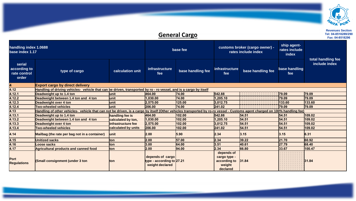

## **General Cargo Fax:** 04-8518289/29<br>Fax: 04-8518289/29

| handling index 1.0688<br>base index 1.17        |                                                                                                                                                                            |                     |                                                                  | base fee          |                                                                  | customs broker (cargo owner) -<br>rates include index | ship agent-<br>rates include<br>index |                                     |
|-------------------------------------------------|----------------------------------------------------------------------------------------------------------------------------------------------------------------------------|---------------------|------------------------------------------------------------------|-------------------|------------------------------------------------------------------|-------------------------------------------------------|---------------------------------------|-------------------------------------|
| serial<br>according to<br>rate control<br>order | type of cargo                                                                                                                                                              | calculation unit    | <i>infrastructure</i><br>fee                                     | base handling fee | <b>infrastructure</b><br>fee                                     | base handling fee                                     | base handling<br>fee                  | total handling fee<br>include index |
| 4                                               | <b>Export cargo by direct delivery</b>                                                                                                                                     |                     |                                                                  |                   |                                                                  |                                                       |                                       |                                     |
| 4.12                                            | Handling of driving vehicles- vehicle that can be driven, transported by ro - ro vessel, and is a cargo by itself                                                          |                     |                                                                  |                   |                                                                  |                                                       |                                       |                                     |
| 4.12.1                                          | Deadweight up to 1.4 ton                                                                                                                                                   | lunit               | 464.00                                                           | 74.00             | 542.88                                                           |                                                       | 79.09                                 | 79.09                               |
| 4.12.2                                          | Deadweight between 1.4 ton and 4 ton                                                                                                                                       | lunit               | 1.030.00                                                         | 74.00             | 1.205.10                                                         |                                                       | 79.09                                 | 79.09                               |
| 4.12.3                                          | Deadweight over 4 ton                                                                                                                                                      | lunit               | 2.575.00                                                         | 125.00            | 3.012.75                                                         |                                                       | 133.60                                | 133.60                              |
| 4.12.4                                          | <b>Two-wheeled vehicles</b>                                                                                                                                                | lunit               | 206.00                                                           | 74.00             | 241.02                                                           |                                                       | 79.09                                 | 79.09                               |
| 4.13                                            | Handling of other vehicles- vehicle that can not be driven, is a cargo by itself (Other vehicles transported by ro-ro vessel - Customs agent charged on 100% handling fee) |                     |                                                                  |                   |                                                                  |                                                       |                                       |                                     |
| 4.13.1                                          | Deadweight up to 1.4 ton                                                                                                                                                   | handling fee is     | 464.00                                                           | 102.00            | 542.88                                                           | 54.51                                                 | 54.51                                 | 109.02                              |
| 4.13.2                                          | Deadweight between 1.4 ton and 4 ton                                                                                                                                       | calculated by ton,  | 1,030.00                                                         | 102.00            | 1.205.10                                                         | 54.51                                                 | 54.51                                 | 109.02                              |
| 4.13.3                                          | Deadweight over 4 ton                                                                                                                                                      | infrastructure fee  | 2,575.00                                                         | 102.00            | 3,012.75                                                         | 54.51                                                 | 54.51                                 | 109.02                              |
| 4.13.4                                          | <b>Two-wheeled vehicles</b>                                                                                                                                                | calculated by units | 206.00                                                           | 102.00            | 241.02                                                           | 54.51                                                 | 54.51                                 | 109.02                              |
| 4.14                                            | Mailbag (the rate per bag not in a container)                                                                                                                              | <b>unit</b>         | 2.00                                                             | 5.90              | 2.34                                                             | 3.15                                                  | 3.15                                  | 6.31                                |
| 4.15                                            | <b>Unitized sacks</b>                                                                                                                                                      | lton                | 2.00                                                             | 57.00             | 2.34                                                             | 39.22                                                 | 21.70                                 | 60.92                               |
| 4.16                                            | <b>Loose sacks</b>                                                                                                                                                         | ton                 | 3.00                                                             | 64.00             | 3.51                                                             | 40.61                                                 | 27.79                                 | 68.40                               |
| 4.17                                            | Agricultural products and canned food                                                                                                                                      | ton                 | 2.00                                                             | 94.00             | 2.34                                                             | 66.80                                                 | 33.67                                 | 100.47                              |
| Port<br><b>Regulations</b>                      | <b>(Small consignment (under 3 ton</b> )                                                                                                                                   | <b>Iton</b>         | depends of cargo<br>type - according to 27.21<br>weight declared |                   | depends of<br>cargo type -<br>according to<br>weight<br>declared | 31.84                                                 |                                       | 31.84                               |

**Revenues Section**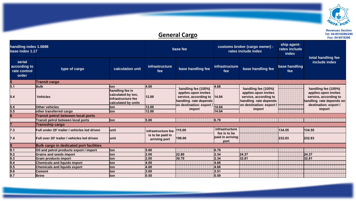

## **<u>General Cargo</u>**

| base index 1.17                                 | handling index 1.0688                          |                                                                                    | base fee                          |                                                                                                    | customs broker (cargo owner) -<br>rates include index |                                                                                                    | ship agent-<br>rates include<br>index | total handling fee                                                                                 |
|-------------------------------------------------|------------------------------------------------|------------------------------------------------------------------------------------|-----------------------------------|----------------------------------------------------------------------------------------------------|-------------------------------------------------------|----------------------------------------------------------------------------------------------------|---------------------------------------|----------------------------------------------------------------------------------------------------|
| serial<br>according to<br>rate control<br>order | type of cargo                                  | calculation unit                                                                   | infrastructure<br>fee             | base handling fee                                                                                  | <b>infrastructure</b><br>fee                          | base handling fee                                                                                  | base handling<br>fee                  | include index                                                                                      |
| 15.                                             | <b>Transit cargo</b>                           |                                                                                    |                                   |                                                                                                    |                                                       |                                                                                                    |                                       |                                                                                                    |
| 5.1                                             | <b>Bulk</b>                                    | lton                                                                               | 4.00                              | handling fee (100%)                                                                                | 4.68                                                  | handling fee (100%)                                                                                |                                       | handling fee (100%)                                                                                |
| 5.4                                             | <b>Vehicles</b>                                | handling fee is<br>calculated by ton,<br>infrastructure fee<br>calculated by units | 12.00                             | applies upon invites<br>service, according to<br>handling rate depends<br>on destination: export / | 14.04                                                 | applies upon invites<br>service, according to<br>handling rate depends<br>on destination: export / |                                       | applies upon invites<br>service, according to<br>handling rate depends on<br>destination: export / |
| 5.4                                             | Other vehicles                                 | lton.                                                                              | 12.00                             | import                                                                                             | 14.04                                                 | import                                                                                             |                                       | import                                                                                             |
| 5.5                                             | other transferred cargo                        | lton                                                                               | 12.00                             |                                                                                                    | 14.04                                                 |                                                                                                    |                                       |                                                                                                    |
|                                                 | Transit petrol between local ports             |                                                                                    |                                   |                                                                                                    |                                                       |                                                                                                    |                                       |                                                                                                    |
|                                                 | Transit petrol between local ports             | lton                                                                               | 5.80                              |                                                                                                    | 6.79                                                  |                                                                                                    |                                       |                                                                                                    |
|                                                 | Transship cargo                                |                                                                                    |                                   |                                                                                                    |                                                       |                                                                                                    |                                       |                                                                                                    |
| 7.3                                             | Full under 20' trailer / vehicles led driven   | lunit                                                                              | infrastructure fee                | 115.00                                                                                             | infrastructure                                        |                                                                                                    | 134.55                                | 134.55                                                                                             |
| I7.4                                            | Full over 20' trailer / vehicles led driven    | lunit                                                                              | is to be paid in<br>arriving port | 199.00                                                                                             | fee is to be<br>paid in arriving<br>port              |                                                                                                    | 232.83                                | 232.83                                                                                             |
| 9                                               | <b>Bulk cargo in dedicated port facilities</b> |                                                                                    |                                   |                                                                                                    |                                                       |                                                                                                    |                                       |                                                                                                    |
| 9.1                                             | Oil and petrol products export / import        | ton                                                                                | 5.80                              |                                                                                                    | 6.79                                                  |                                                                                                    |                                       |                                                                                                    |
| 9.2                                             | Grains and seeds import                        | lton                                                                               | 2.00                              | 22.80                                                                                              | 2.34                                                  | 24.37                                                                                              |                                       | 24.37                                                                                              |
| 9.3                                             | Grain products import                          | lton                                                                               | 2.00                              | 30.70                                                                                              | 2.34                                                  | 32.81                                                                                              |                                       | 32.81                                                                                              |
| 9.4                                             | <b>Chemicals and liquids import</b>            | lton                                                                               | 4.00                              |                                                                                                    | 4.68                                                  |                                                                                                    |                                       |                                                                                                    |
| 9.5                                             | <b>Chemicals and liquids export</b>            | lton                                                                               | 4.00                              |                                                                                                    | 4.68                                                  |                                                                                                    |                                       |                                                                                                    |
| 9.6                                             | <b>Cement</b>                                  | lton                                                                               | 3.00                              |                                                                                                    | 3.51                                                  |                                                                                                    |                                       |                                                                                                    |
| 9.7                                             | <b>Brine</b>                                   | Iton                                                                               | 0.50                              |                                                                                                    | 0.59                                                  |                                                                                                    |                                       |                                                                                                    |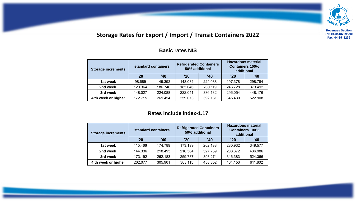

## **Storage Rates for Export / Import / Transit Containers 2022**

#### **Basic rates NIS**

| <b>Storage increments</b> |         | standard containers | <b>Refrigerated Containers</b><br>50% additional |         | <b>Hazardous material</b><br><b>Containers 100%</b><br>additional |         |  |
|---------------------------|---------|---------------------|--------------------------------------------------|---------|-------------------------------------------------------------------|---------|--|
|                           | '20     | '40                 | '20                                              | '40     | '20                                                               | '40     |  |
| 1st week                  | 98.689  | 149.392             | 148.034                                          | 224.088 | 197.378                                                           | 298.784 |  |
| 2nd week                  | 123.364 | 186.746             | 185.046                                          | 280.119 | 246.728                                                           | 373.492 |  |
| 3rd week                  | 148.027 | 224.088             | 222.041                                          | 336.132 | 296.054                                                           | 448.176 |  |
| 4 th week or higher       | 172.715 | 261.454             | 259.073                                          | 392.181 | 345.430                                                           | 522.908 |  |

#### **Rates include index-1.17**

| <b>Storage increments</b> |         | standard containers | <b>Refrigerated Containers</b><br>50% additional |         | <b>Hazardous material</b><br><b>Containers 100%</b><br>additional |         |  |
|---------------------------|---------|---------------------|--------------------------------------------------|---------|-------------------------------------------------------------------|---------|--|
|                           | '20     | '40                 | '20                                              | '40     | '20                                                               | '40     |  |
| 1st week                  | 115.466 | 174.789             | 173.199                                          | 262.183 | 230.932                                                           | 349.577 |  |
| 2nd week                  | 144.336 | 218.493             | 216.504                                          | 327.739 | 288.672                                                           | 436.986 |  |
| 3rd week                  | 173.192 | 262.183             | 259.787                                          | 393.274 | 346.383                                                           | 524.366 |  |
| 4 th week or higher       | 202.077 | 305.901             | 303.115                                          | 458.852 | 404.153                                                           | 611.802 |  |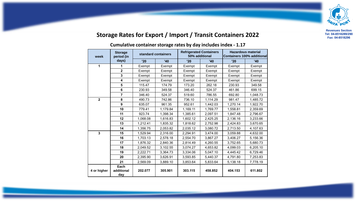

## **Storage Rates for Export / Import / Transit Containers 2022**

#### **Cumulative container storage rates by day includes index - 1.17**

| week           | <b>Storage</b><br>period (in | standard containers |          | <b>Refrigerated Containers</b><br>50% additional |          | <b>Hazardous material</b><br><b>Containers 100% additional</b> |          |  |
|----------------|------------------------------|---------------------|----------|--------------------------------------------------|----------|----------------------------------------------------------------|----------|--|
|                | days)                        | '20                 | '40      | '20                                              | '40      | '20                                                            | '40      |  |
| 1              | 1                            | Exempt              | Exempt   | Exempt                                           | Exempt   | Exempt                                                         | Exempt   |  |
|                | $\overline{2}$               | Exempt              | Exempt   | Exempt                                           | Exempt   | Exempt                                                         | Exempt   |  |
|                | 3                            | Exempt              | Exempt   | Exempt                                           | Exempt   | Exempt                                                         | Exempt   |  |
|                | 4                            | Exempt              | Exempt   | Exempt                                           | Exempt   | Exempt                                                         | Exempt   |  |
|                | 5                            | 115.47              | 174.79   | 173.20                                           | 262.18   | 230.93                                                         | 349.58   |  |
|                | 6                            | 230.93              | 349.58   | 346.40                                           | 524.37   | 461.86                                                         | 699.15   |  |
|                | $\overline{7}$               | 346.40              | 524.37   | 519.60                                           | 786.55   | 692.80                                                         | 1,048.73 |  |
| $\overline{2}$ | 8                            | 490.73              | 742.86   | 736.10                                           | 1,114.29 | 981.47                                                         | 1,485.72 |  |
|                | 9                            | 635.07              | 961.35   | 952.61                                           | 1,442.03 | 1,270.14                                                       | 1,922.70 |  |
|                | 10                           | 779.41              | 1,179.84 | 1,169.11                                         | 1,769.77 | 1,558.81                                                       | 2,359.69 |  |
|                | 11                           | 923.74              | 1,398.34 | 1,385.61                                         | 2,097.51 | 1,847.48                                                       | 2,796.67 |  |
|                | 12                           | 1,068.08            | 1,616.83 | 1,602.12                                         | 2,425.25 | 2,136.16                                                       | 3,233.66 |  |
|                | 13                           | 1,212.41            | 1,835.32 | 1,818.62                                         | 2,752.98 | 2,424.83                                                       | 3,670.65 |  |
|                | 14                           | 1,356.75            | 2,053.82 | 2,035.12                                         | 3,080.72 | 2,713.50                                                       | 4,107.63 |  |
| $\overline{3}$ | 15                           | 1,529.94            | 2,316.00 | 2,294.91                                         | 3,474.00 | 3,059.88                                                       | 4,632.00 |  |
|                | 16                           | 1,703.13            | 2,578.18 | 2,554.70                                         | 3,867.27 | 3,406.27                                                       | 5,156.36 |  |
|                | 17                           | 1,876.32            | 2,840.36 | 2,814.49                                         | 4,260.55 | 3,752.65                                                       | 5,680.73 |  |
|                | 18                           | 2,049.52            | 3,102.55 | 3,074.27                                         | 4,653.82 | 4,099.03                                                       | 6,205.10 |  |
|                | 19                           | 2,222.71            | 3,364.73 | 3,334.06                                         | 5,047.10 | 4,445.42                                                       | 6,729.46 |  |
|                | 20                           | 2.395.90            | 3,626.91 | 3,593.85                                         | 5,440.37 | 4.791.80                                                       | 7.253.83 |  |
|                | 21                           | 2,569.09            | 3,889.10 | 3,853.64                                         | 5,833.64 | 5,138.18                                                       | 7,778.19 |  |
| 4 or higher    | Each<br>additional<br>day    | 202.077             | 305.901  | 303.115                                          | 458.852  | 404.153                                                        | 611.802  |  |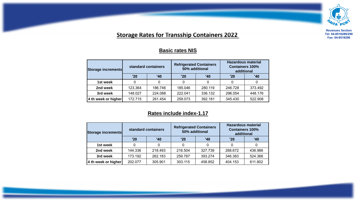

### **Storage Rates for Transship Containers 2022**

**Basic rates NIS**

#### **Storage increments standard containers Refrigerated Containers 50% additional Hazardous material Containers 100% additional '20 '40 '20 '40 '20 '40** 1st week | 0 | 0 | 0 | 0 | 0 | 0 **2nd week | 1**23.364 | 186.746 | 185.046 | 280.119 | 246.728 | 373.492 **3rd week | 1**48.027 | 224.088 **|** 222.041 | 336.132 | 296.054 | 448.176 **4 th week or higher** 172.715 261.454 259.073 392.181 345.430 522.908

#### **Rates include index-1.17**

| Storage increments  |         | standard containers | <b>Refrigerated Containers</b><br>50% additional |         | <b>Hazardous material</b><br><b>Containers 100%</b><br>additional |         |  |
|---------------------|---------|---------------------|--------------------------------------------------|---------|-------------------------------------------------------------------|---------|--|
|                     | '20     | '40                 | '20                                              | '40     | '20                                                               | '40     |  |
| 1st week            |         |                     |                                                  |         |                                                                   |         |  |
| 2nd week            | 144.336 | 218.493             | 216.504                                          | 327.739 | 288.672                                                           | 436.986 |  |
| 3rd week            | 173.192 | 262.183             | 259.787                                          | 393.274 | 346.383                                                           | 524.366 |  |
| 4 th week or higher | 202.077 | 305.901             | 303.115                                          | 458.852 | 404.153                                                           | 611.802 |  |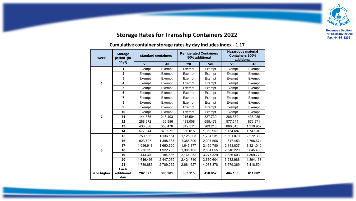

## **Storage Rates for Transship Containers 2022**

**Cumulative container storage rates by day includes index - 1.17** 

| week           | <b>Storage</b><br>period (in<br>days) | standard containers |           | <b>Refrigerated Containers</b><br>50% additional |           | <b>Hazardous material</b><br><b>Containers 100%</b><br>additional |           |  |
|----------------|---------------------------------------|---------------------|-----------|--------------------------------------------------|-----------|-------------------------------------------------------------------|-----------|--|
|                |                                       | '20                 | '40       | '20                                              | '40       | '20                                                               | '40       |  |
| 1              | 1                                     | Exempt              | Exempt    | Exempt                                           | Exempt    | Exempt                                                            | Exempt    |  |
|                | $\mathbf 2$                           | Exempt              | Exempt    | Exempt                                           | Exempt    | Exempt                                                            | Exempt    |  |
|                | 3                                     | Exempt              | Exempt    | Exempt                                           | Exempt    | Exempt                                                            | Exempt    |  |
|                | 4                                     | Exempt              | Exempt    | Exempt                                           | Exempt    | Exempt                                                            | Exempt    |  |
|                | 5                                     | Exempt              | Exempt    | Exempt                                           | Exempt    | Exempt                                                            | Exempt    |  |
|                | 6                                     | Exempt              | Exempt    | Exempt                                           | Exempt    | Exempt                                                            | Exempt    |  |
|                | $\overline{7}$                        | Exempt              | Exempt    | Exempt                                           | Exempt    | Exempt                                                            | Exempt    |  |
| $\overline{2}$ | 8                                     | Exempt              | Exempt    | Exempt                                           | Exempt    | Exempt                                                            | Exempt    |  |
|                | $\boldsymbol{9}$                      | Exempt              | Exempt    | Exempt                                           | Exempt    | Exempt                                                            | Exempt    |  |
|                | 10                                    | Exempt              | Exempt    | Exempt                                           | Exempt    | Exempt                                                            | Exempt    |  |
|                | 11                                    | 144.336             | 218.493   | 216.504                                          | 327.739   | 288.672                                                           | 436.986   |  |
|                | 12                                    | 288.672             | 436.986   | 433.008                                          | 655.478   | 577.344                                                           | 873.971   |  |
|                | 13                                    | 433.008             | 655.478   | 649.511                                          | 983.218   | 866.015                                                           | 1,310.957 |  |
|                | 14                                    | 577.344             | 873.971   | 866.015                                          | 1,310.957 | 1,154.687                                                         | 1,747.943 |  |
| 3              | 15                                    | 750.535             | 1,136.154 | 1,125.803                                        | 1,704.231 | 1,501.070                                                         | 2,272.308 |  |
|                | 16                                    | 923.727             | 1,398.337 | 1,385.590                                        | 2,097.506 | 1,847.453                                                         | 2,796.674 |  |
|                | 17                                    | 1,096.918           | 1,660.520 | 1,645.377                                        | 2,490.780 | 2,193.837                                                         | 3,321.040 |  |
|                | 18                                    | 1,270.110           | 1,922.703 | 1,905.165                                        | 2,884.055 | 2,540.220                                                         | 3,845.406 |  |
|                | 19                                    | 1,443.301           | 2,184.886 | 2,164.952                                        | 3,277.329 | 2,886.603                                                         | 4,369.772 |  |
|                | 20                                    | 1,616.493           | 2,447.069 | 2,424.740                                        | 3,670.604 | 3,232.986                                                         | 4,894.138 |  |
|                | 21                                    | 1,789.685           | 2,709.252 | 2,684.527                                        | 4,063.878 | 3,579.369                                                         | 5,418.504 |  |
| 4 or higher    | Each<br>additional<br>day             | 202.077             | 305.901   | 303.115                                          | 458.852   | 404.153                                                           | 611.802   |  |